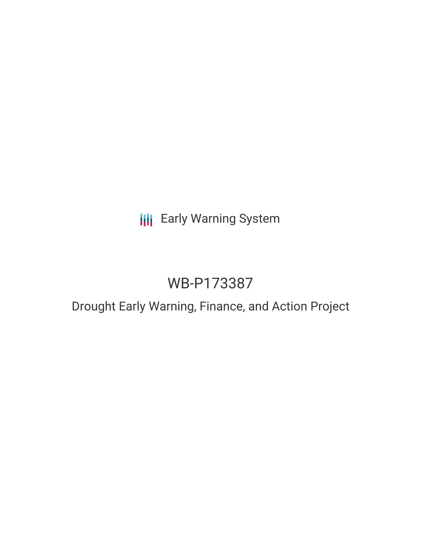## **III** Early Warning System

# WB-P173387

### Drought Early Warning, Finance, and Action Project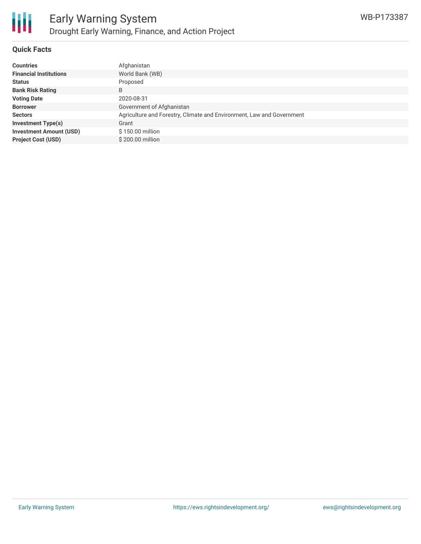

#### **Quick Facts**

| <b>Countries</b>               | Afghanistan                                                           |
|--------------------------------|-----------------------------------------------------------------------|
| <b>Financial Institutions</b>  | World Bank (WB)                                                       |
| <b>Status</b>                  | Proposed                                                              |
| <b>Bank Risk Rating</b>        | B                                                                     |
| <b>Voting Date</b>             | 2020-08-31                                                            |
| <b>Borrower</b>                | Government of Afghanistan                                             |
| <b>Sectors</b>                 | Agriculture and Forestry, Climate and Environment, Law and Government |
| <b>Investment Type(s)</b>      | Grant                                                                 |
| <b>Investment Amount (USD)</b> | \$150.00 million                                                      |
| <b>Project Cost (USD)</b>      | \$200.00 million                                                      |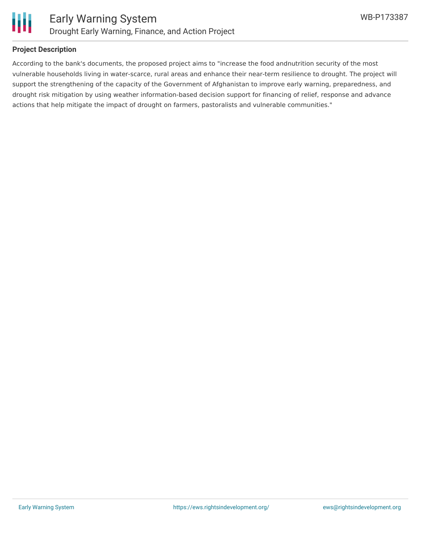

#### **Project Description**

According to the bank's documents, the proposed project aims to "increase the food andnutrition security of the most vulnerable households living in water-scarce, rural areas and enhance their near-term resilience to drought. The project will support the strengthening of the capacity of the Government of Afghanistan to improve early warning, preparedness, and drought risk mitigation by using weather information-based decision support for financing of relief, response and advance actions that help mitigate the impact of drought on farmers, pastoralists and vulnerable communities."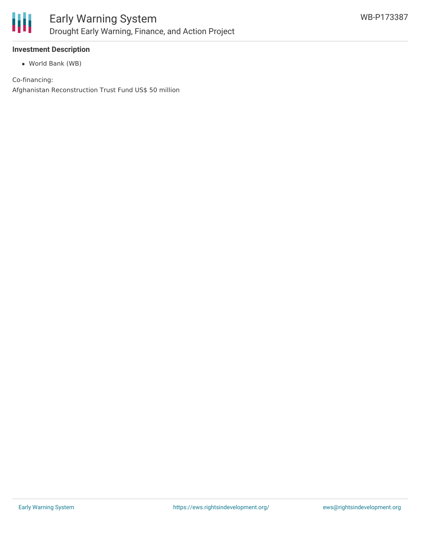

#### **Investment Description**

World Bank (WB)

Co-financing: Afghanistan Reconstruction Trust Fund US\$ 50 million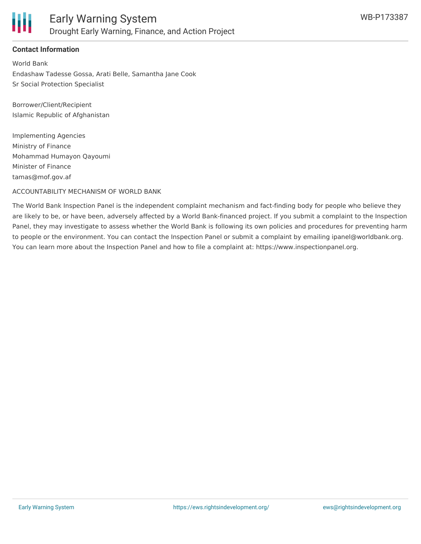

#### **Contact Information**

World Bank Endashaw Tadesse Gossa, Arati Belle, Samantha Jane Cook Sr Social Protection Specialist

Borrower/Client/Recipient Islamic Republic of Afghanistan

Implementing Agencies Ministry of Finance Mohammad Humayon Qayoumi Minister of Finance tamas@mof.gov.af

ACCOUNTABILITY MECHANISM OF WORLD BANK

The World Bank Inspection Panel is the independent complaint mechanism and fact-finding body for people who believe they are likely to be, or have been, adversely affected by a World Bank-financed project. If you submit a complaint to the Inspection Panel, they may investigate to assess whether the World Bank is following its own policies and procedures for preventing harm to people or the environment. You can contact the Inspection Panel or submit a complaint by emailing ipanel@worldbank.org. You can learn more about the Inspection Panel and how to file a complaint at: https://www.inspectionpanel.org.